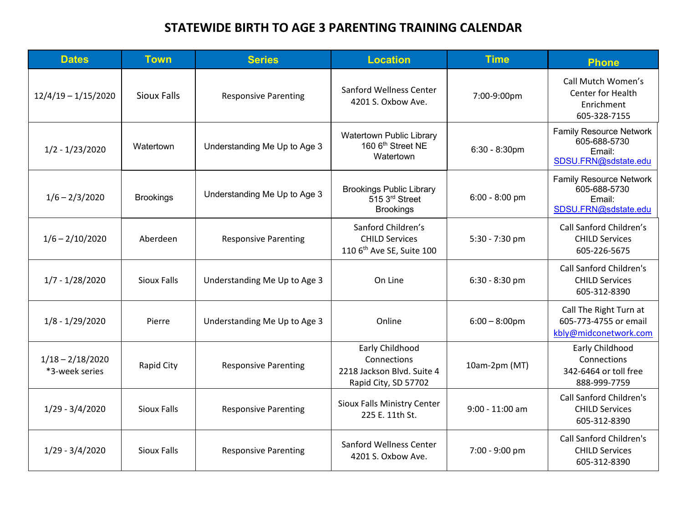## **STATEWIDE BIRTH TO AGE 3 PARENTING TRAINING CALENDAR**

| <b>Dates</b>                         | <b>Town</b>        | <b>Series</b>                | <b>Location</b>                                                                      | <b>Time</b>       | <b>Phone</b>                                                                     |
|--------------------------------------|--------------------|------------------------------|--------------------------------------------------------------------------------------|-------------------|----------------------------------------------------------------------------------|
| $12/4/19 - 1/15/2020$                | <b>Sioux Falls</b> | <b>Responsive Parenting</b>  | Sanford Wellness Center<br>4201 S. Oxbow Ave.                                        | 7:00-9:00pm       | <b>Call Mutch Women's</b><br>Center for Health<br>Enrichment<br>605-328-7155     |
| $1/2 - 1/23/2020$                    | Watertown          | Understanding Me Up to Age 3 | <b>Watertown Public Library</b><br>160 6 <sup>th</sup> Street NE<br>Watertown        | 6:30 - 8:30pm     | <b>Family Resource Network</b><br>605-688-5730<br>Email:<br>SDSU.FRN@sdstate.edu |
| $1/6 - 2/3/2020$                     | <b>Brookings</b>   | Understanding Me Up to Age 3 | <b>Brookings Public Library</b><br>515 3rd Street<br><b>Brookings</b>                | $6:00 - 8:00$ pm  | <b>Family Resource Network</b><br>605-688-5730<br>Email:<br>SDSU.FRN@sdstate.edu |
| $1/6 - 2/10/2020$                    | Aberdeen           | <b>Responsive Parenting</b>  | Sanford Children's<br><b>CHILD Services</b><br>110 6 <sup>th</sup> Ave SE, Suite 100 | 5:30 - 7:30 pm    | Call Sanford Children's<br><b>CHILD Services</b><br>605-226-5675                 |
| $1/7 - 1/28/2020$                    | <b>Sioux Falls</b> | Understanding Me Up to Age 3 | On Line                                                                              | 6:30 - 8:30 pm    | <b>Call Sanford Children's</b><br><b>CHILD Services</b><br>605-312-8390          |
| $1/8 - 1/29/2020$                    | Pierre             | Understanding Me Up to Age 3 | Online                                                                               | $6:00 - 8:00$ pm  | Call The Right Turn at<br>605-773-4755 or email<br>kbly@midconetwork.com         |
| $1/18 - 2/18/2020$<br>*3-week series | Rapid City         | <b>Responsive Parenting</b>  | Early Childhood<br>Connections<br>2218 Jackson Blvd. Suite 4<br>Rapid City, SD 57702 | 10am-2pm (MT)     | Early Childhood<br>Connections<br>342-6464 or toll free<br>888-999-7759          |
| $1/29 - 3/4/2020$                    | <b>Sioux Falls</b> | <b>Responsive Parenting</b>  | Sioux Falls Ministry Center<br>225 E. 11th St.                                       | $9:00 - 11:00$ am | Call Sanford Children's<br><b>CHILD Services</b><br>605-312-8390                 |
| $1/29 - 3/4/2020$                    | <b>Sioux Falls</b> | <b>Responsive Parenting</b>  | Sanford Wellness Center<br>4201 S. Oxbow Ave.                                        | 7:00 - 9:00 pm    | <b>Call Sanford Children's</b><br><b>CHILD Services</b><br>605-312-8390          |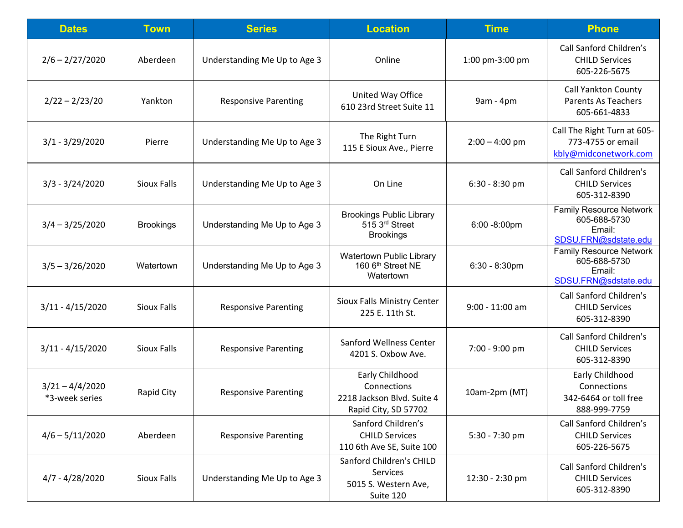| <b>Dates</b>                        | <b>Town</b>        | <b>Series</b>                | <b>Location</b>                                                                      | <b>Time</b>       | <b>Phone</b>                                                                     |
|-------------------------------------|--------------------|------------------------------|--------------------------------------------------------------------------------------|-------------------|----------------------------------------------------------------------------------|
| $2/6 - 2/27/2020$                   | Aberdeen           | Understanding Me Up to Age 3 | Online                                                                               | 1:00 pm-3:00 pm   | Call Sanford Children's<br><b>CHILD Services</b><br>605-226-5675                 |
| $2/22 - 2/23/20$                    | Yankton            | <b>Responsive Parenting</b>  | United Way Office<br>610 23rd Street Suite 11                                        | 9am - 4pm         | <b>Call Yankton County</b><br><b>Parents As Teachers</b><br>605-661-4833         |
| $3/1 - 3/29/2020$                   | Pierre             | Understanding Me Up to Age 3 | The Right Turn<br>115 E Sioux Ave., Pierre                                           | $2:00 - 4:00$ pm  | Call The Right Turn at 605-<br>773-4755 or email<br>kbly@midconetwork.com        |
| $3/3 - 3/24/2020$                   | Sioux Falls        | Understanding Me Up to Age 3 | On Line                                                                              | $6:30 - 8:30$ pm  | <b>Call Sanford Children's</b><br><b>CHILD Services</b><br>605-312-8390          |
| $3/4 - 3/25/2020$                   | <b>Brookings</b>   | Understanding Me Up to Age 3 | <b>Brookings Public Library</b><br>515 3rd Street<br><b>Brookings</b>                | $6:00 - 8:00$ pm  | <b>Family Resource Network</b><br>605-688-5730<br>Email:<br>SDSU.FRN@sdstate.edu |
| $3/5 - 3/26/2020$                   | Watertown          | Understanding Me Up to Age 3 | Watertown Public Library<br>160 6 <sup>th</sup> Street NE<br>Watertown               | $6:30 - 8:30$ pm  | <b>Family Resource Network</b><br>605-688-5730<br>Email:<br>SDSU.FRN@sdstate.edu |
| $3/11 - 4/15/2020$                  | Sioux Falls        | <b>Responsive Parenting</b>  | Sioux Falls Ministry Center<br>225 E. 11th St.                                       | $9:00 - 11:00$ am | Call Sanford Children's<br><b>CHILD Services</b><br>605-312-8390                 |
| $3/11 - 4/15/2020$                  | <b>Sioux Falls</b> | <b>Responsive Parenting</b>  | Sanford Wellness Center<br>4201 S. Oxbow Ave.                                        | 7:00 - 9:00 pm    | <b>Call Sanford Children's</b><br><b>CHILD Services</b><br>605-312-8390          |
| $3/21 - 4/4/2020$<br>*3-week series | Rapid City         | <b>Responsive Parenting</b>  | Early Childhood<br>Connections<br>2218 Jackson Blvd. Suite 4<br>Rapid City, SD 57702 | 10am-2pm (MT)     | Early Childhood<br>Connections<br>342-6464 or toll free<br>888-999-7759          |
| $4/6 - 5/11/2020$                   | Aberdeen           | <b>Responsive Parenting</b>  | Sanford Children's<br><b>CHILD Services</b><br>110 6th Ave SE, Suite 100             | 5:30 - 7:30 pm    | Call Sanford Children's<br><b>CHILD Services</b><br>605-226-5675                 |
| $4/7 - 4/28/2020$                   | <b>Sioux Falls</b> | Understanding Me Up to Age 3 | Sanford Children's CHILD<br>Services<br>5015 S. Western Ave,<br>Suite 120            | 12:30 - 2:30 pm   | Call Sanford Children's<br><b>CHILD Services</b><br>605-312-8390                 |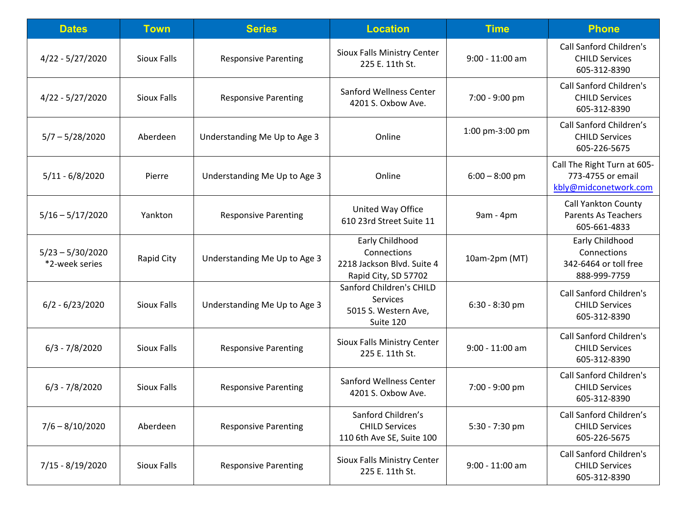| <b>Dates</b>                         | <b>Town</b>        | <b>Series</b>                | <b>Location</b>                                                                      | <b>Time</b>       | <b>Phone</b>                                                              |
|--------------------------------------|--------------------|------------------------------|--------------------------------------------------------------------------------------|-------------------|---------------------------------------------------------------------------|
| $4/22 - 5/27/2020$                   | <b>Sioux Falls</b> | <b>Responsive Parenting</b>  | Sioux Falls Ministry Center<br>225 E. 11th St.                                       | $9:00 - 11:00$ am | Call Sanford Children's<br><b>CHILD Services</b><br>605-312-8390          |
| $4/22 - 5/27/2020$                   | <b>Sioux Falls</b> | <b>Responsive Parenting</b>  | Sanford Wellness Center<br>4201 S. Oxbow Ave.                                        | 7:00 - 9:00 pm    | Call Sanford Children's<br><b>CHILD Services</b><br>605-312-8390          |
| $5/7 - 5/28/2020$                    | Aberdeen           | Understanding Me Up to Age 3 | Online                                                                               | 1:00 pm-3:00 pm   | Call Sanford Children's<br><b>CHILD Services</b><br>605-226-5675          |
| $5/11 - 6/8/2020$                    | Pierre             | Understanding Me Up to Age 3 | Online                                                                               | $6:00 - 8:00$ pm  | Call The Right Turn at 605-<br>773-4755 or email<br>kbly@midconetwork.com |
| $5/16 - 5/17/2020$                   | Yankton            | <b>Responsive Parenting</b>  | United Way Office<br>610 23rd Street Suite 11                                        | 9am - 4pm         | <b>Call Yankton County</b><br><b>Parents As Teachers</b><br>605-661-4833  |
| $5/23 - 5/30/2020$<br>*2-week series | Rapid City         | Understanding Me Up to Age 3 | Early Childhood<br>Connections<br>2218 Jackson Blvd. Suite 4<br>Rapid City, SD 57702 | 10am-2pm (MT)     | Early Childhood<br>Connections<br>342-6464 or toll free<br>888-999-7759   |
| $6/2 - 6/23/2020$                    | <b>Sioux Falls</b> | Understanding Me Up to Age 3 | Sanford Children's CHILD<br><b>Services</b><br>5015 S. Western Ave,<br>Suite 120     | 6:30 - 8:30 pm    | Call Sanford Children's<br><b>CHILD Services</b><br>605-312-8390          |
| $6/3 - 7/8/2020$                     | <b>Sioux Falls</b> | <b>Responsive Parenting</b>  | Sioux Falls Ministry Center<br>225 E. 11th St.                                       | $9:00 - 11:00$ am | Call Sanford Children's<br><b>CHILD Services</b><br>605-312-8390          |
| $6/3 - 7/8/2020$                     | <b>Sioux Falls</b> | <b>Responsive Parenting</b>  | Sanford Wellness Center<br>4201 S. Oxbow Ave.                                        | 7:00 - 9:00 pm    | Call Sanford Children's<br><b>CHILD Services</b><br>605-312-8390          |
| $7/6 - 8/10/2020$                    | Aberdeen           | <b>Responsive Parenting</b>  | Sanford Children's<br><b>CHILD Services</b><br>110 6th Ave SE, Suite 100             | 5:30 - 7:30 pm    | Call Sanford Children's<br><b>CHILD Services</b><br>605-226-5675          |
| 7/15 - 8/19/2020                     | <b>Sioux Falls</b> | <b>Responsive Parenting</b>  | Sioux Falls Ministry Center<br>225 E. 11th St.                                       | 9:00 - 11:00 am   | Call Sanford Children's<br><b>CHILD Services</b><br>605-312-8390          |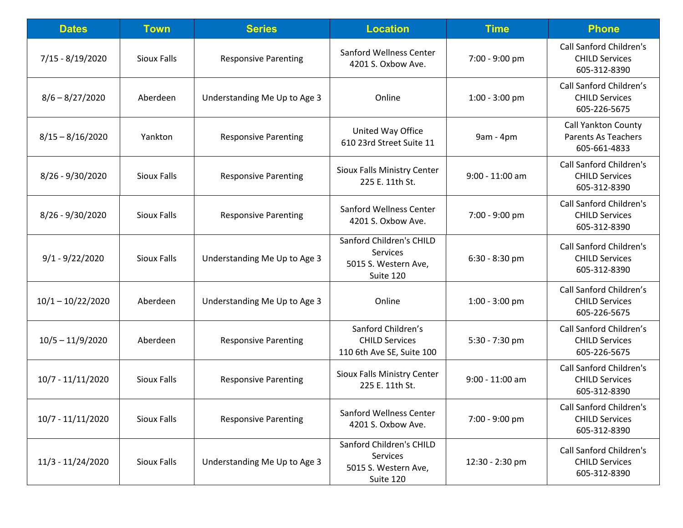| <b>Dates</b>        | <b>Town</b>        | <b>Series</b>                | <b>Location</b>                                                           | <b>Time</b>       | <b>Phone</b>                                                             |
|---------------------|--------------------|------------------------------|---------------------------------------------------------------------------|-------------------|--------------------------------------------------------------------------|
| 7/15 - 8/19/2020    | <b>Sioux Falls</b> | <b>Responsive Parenting</b>  | <b>Sanford Wellness Center</b><br>4201 S. Oxbow Ave.                      | 7:00 - 9:00 pm    | <b>Call Sanford Children's</b><br><b>CHILD Services</b><br>605-312-8390  |
| $8/6 - 8/27/2020$   | Aberdeen           | Understanding Me Up to Age 3 | Online                                                                    | 1:00 - 3:00 pm    | Call Sanford Children's<br><b>CHILD Services</b><br>605-226-5675         |
| $8/15 - 8/16/2020$  | Yankton            | <b>Responsive Parenting</b>  | United Way Office<br>610 23rd Street Suite 11                             | 9am - 4pm         | <b>Call Yankton County</b><br><b>Parents As Teachers</b><br>605-661-4833 |
| 8/26 - 9/30/2020    | <b>Sioux Falls</b> | <b>Responsive Parenting</b>  | Sioux Falls Ministry Center<br>225 E. 11th St.                            | 9:00 - 11:00 am   | <b>Call Sanford Children's</b><br><b>CHILD Services</b><br>605-312-8390  |
| $8/26 - 9/30/2020$  | Sioux Falls        | <b>Responsive Parenting</b>  | Sanford Wellness Center<br>4201 S. Oxbow Ave.                             | 7:00 - 9:00 pm    | <b>Call Sanford Children's</b><br><b>CHILD Services</b><br>605-312-8390  |
| $9/1 - 9/22/2020$   | <b>Sioux Falls</b> | Understanding Me Up to Age 3 | Sanford Children's CHILD<br>Services<br>5015 S. Western Ave,<br>Suite 120 | 6:30 - 8:30 pm    | <b>Call Sanford Children's</b><br><b>CHILD Services</b><br>605-312-8390  |
| $10/1 - 10/22/2020$ | Aberdeen           | Understanding Me Up to Age 3 | Online                                                                    | $1:00 - 3:00$ pm  | Call Sanford Children's<br><b>CHILD Services</b><br>605-226-5675         |
| $10/5 - 11/9/2020$  | Aberdeen           | <b>Responsive Parenting</b>  | Sanford Children's<br><b>CHILD Services</b><br>110 6th Ave SE, Suite 100  | 5:30 - 7:30 pm    | Call Sanford Children's<br><b>CHILD Services</b><br>605-226-5675         |
| 10/7 - 11/11/2020   | Sioux Falls        | <b>Responsive Parenting</b>  | Sioux Falls Ministry Center<br>225 E. 11th St.                            | $9:00 - 11:00$ am | <b>Call Sanford Children's</b><br><b>CHILD Services</b><br>605-312-8390  |
| 10/7 - 11/11/2020   | <b>Sioux Falls</b> | <b>Responsive Parenting</b>  | <b>Sanford Wellness Center</b><br>4201 S. Oxbow Ave.                      | 7:00 - 9:00 pm    | Call Sanford Children's<br><b>CHILD Services</b><br>605-312-8390         |
| 11/3 - 11/24/2020   | Sioux Falls        | Understanding Me Up to Age 3 | Sanford Children's CHILD<br>Services<br>5015 S. Western Ave,<br>Suite 120 | 12:30 - 2:30 pm   | <b>Call Sanford Children's</b><br><b>CHILD Services</b><br>605-312-8390  |